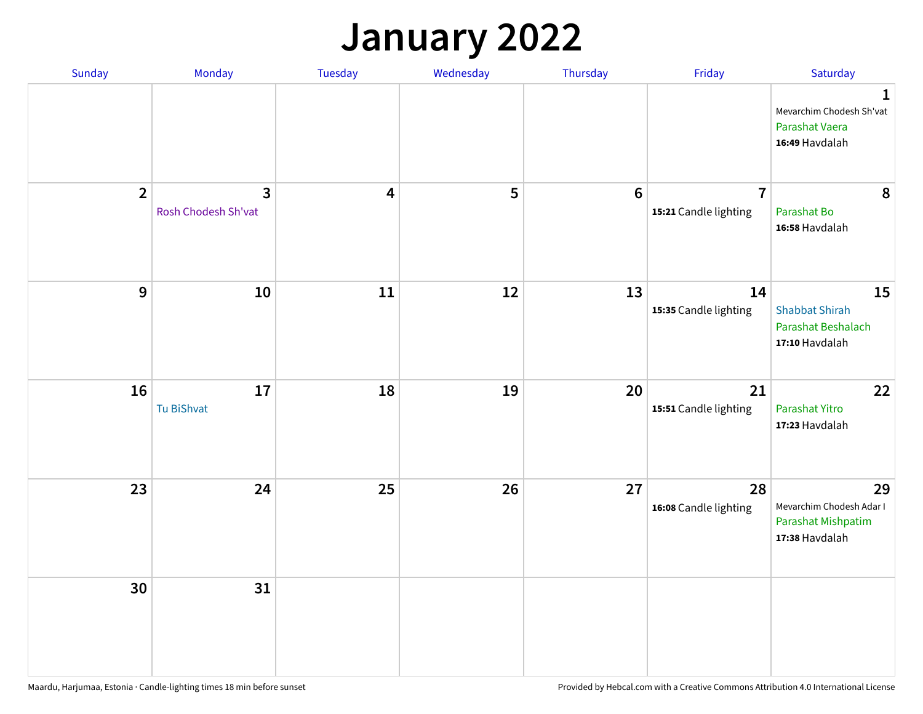## **January 2022**

| Sunday         | Monday                   | Tuesday                 | Wednesday | Thursday         | Friday                                  | Saturday                                                                     |
|----------------|--------------------------|-------------------------|-----------|------------------|-----------------------------------------|------------------------------------------------------------------------------|
|                |                          |                         |           |                  |                                         | $\mathbf{1}$<br>Mevarchim Chodesh Sh'vat<br>Parashat Vaera<br>16:49 Havdalah |
| $\overline{2}$ | 3<br>Rosh Chodesh Sh'vat | $\overline{\mathbf{4}}$ | 5         | $\boldsymbol{6}$ | $\overline{7}$<br>15:21 Candle lighting | 8<br>Parashat Bo<br>16:58 Havdalah                                           |
| $\mathbf 9$    | 10                       | ${\bf 11}$              | 12        | 13               | 14<br>15:35 Candle lighting             | 15<br><b>Shabbat Shirah</b><br>Parashat Beshalach<br>17:10 Havdalah          |
| 16             | 17<br>Tu BiShvat         | 18                      | 19        | 20               | 21<br>15:51 Candle lighting             | 22<br>Parashat Yitro<br>17:23 Havdalah                                       |
| 23             | 24                       | 25                      | 26        | 27               | 28<br>16:08 Candle lighting             | 29<br>Mevarchim Chodesh Adar I<br>Parashat Mishpatim<br>17:38 Havdalah       |
| 30             | 31                       |                         |           |                  |                                         |                                                                              |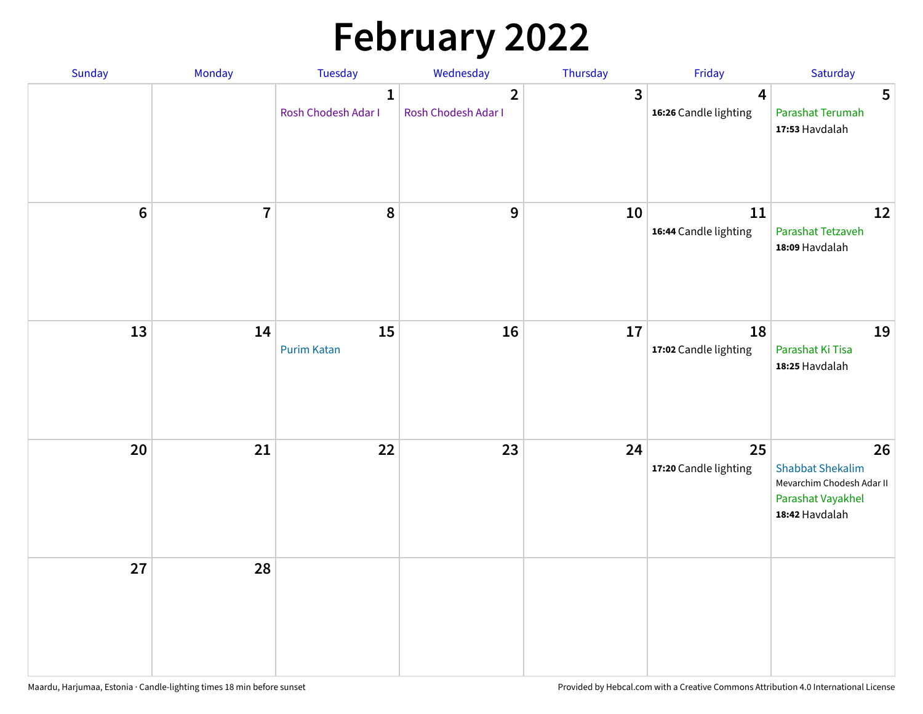# **February 2022**

| Sunday | Monday         | Tuesday                             | Wednesday                             | Thursday                | Friday                                           | Saturday                                                                                          |
|--------|----------------|-------------------------------------|---------------------------------------|-------------------------|--------------------------------------------------|---------------------------------------------------------------------------------------------------|
|        |                | $\mathbf{1}$<br>Rosh Chodesh Adar I | $\overline{2}$<br>Rosh Chodesh Adar I | $\overline{\mathbf{3}}$ | $\overline{\mathbf{4}}$<br>16:26 Candle lighting | 5<br>Parashat Terumah<br>17:53 Havdalah                                                           |
| $6\,$  | $\overline{7}$ | 8                                   | 9                                     | 10                      | 11<br>16:44 Candle lighting                      | 12<br>Parashat Tetzaveh<br>18:09 Havdalah                                                         |
| 13     | 14             | 15<br><b>Purim Katan</b>            | 16                                    | 17                      | 18<br>17:02 Candle lighting                      | 19<br>Parashat Ki Tisa<br>18:25 Havdalah                                                          |
| 20     | 21             | 22                                  | 23                                    | 24                      | 25<br>17:20 Candle lighting                      | 26<br><b>Shabbat Shekalim</b><br>Mevarchim Chodesh Adar II<br>Parashat Vayakhel<br>18:42 Havdalah |
| 27     | 28             |                                     |                                       |                         |                                                  |                                                                                                   |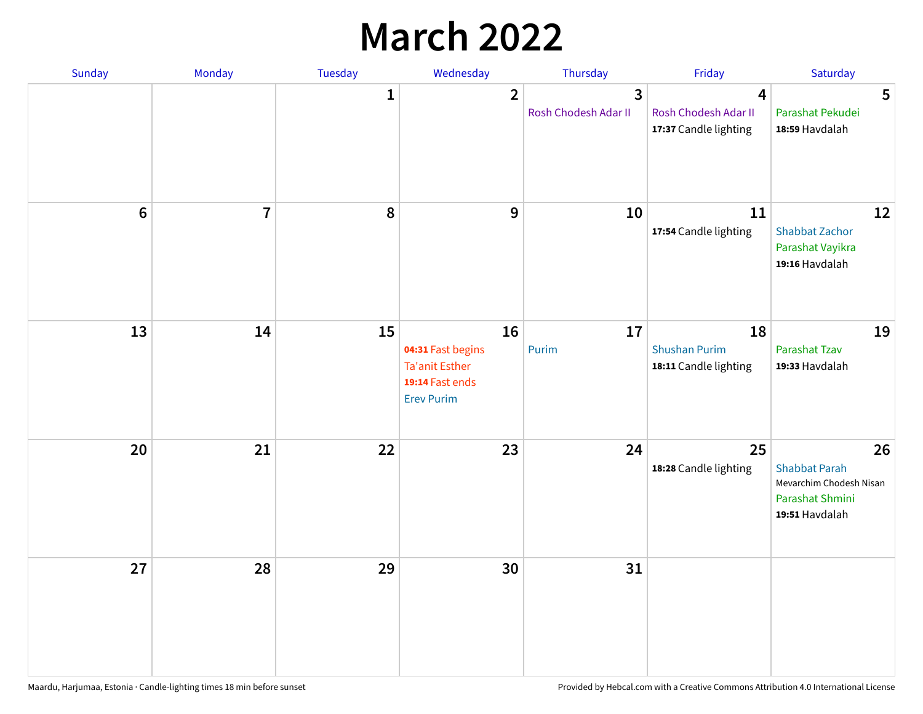## **March 2022**

| Sunday  | <b>Monday</b>  | <b>Tuesday</b> | Wednesday                                                                                | Thursday                                        | Friday                                              | Saturday                                                                                   |
|---------|----------------|----------------|------------------------------------------------------------------------------------------|-------------------------------------------------|-----------------------------------------------------|--------------------------------------------------------------------------------------------|
|         |                | $\mathbf{1}$   | $\overline{2}$                                                                           | $\overline{\mathbf{3}}$<br>Rosh Chodesh Adar II | 4<br>Rosh Chodesh Adar II<br>17:37 Candle lighting  | 5<br>Parashat Pekudei<br>18:59 Havdalah                                                    |
| $\bf 6$ | $\overline{7}$ | 8              | 9                                                                                        | 10                                              | 11<br>17:54 Candle lighting                         | 12<br><b>Shabbat Zachor</b><br>Parashat Vayikra<br>19:16 Havdalah                          |
| 13      | 14             | 15             | 16<br>04:31 Fast begins<br><b>Ta'anit Esther</b><br>19:14 Fast ends<br><b>Erev Purim</b> | 17<br>Purim                                     | 18<br><b>Shushan Purim</b><br>18:11 Candle lighting | 19<br>Parashat Tzav<br>19:33 Havdalah                                                      |
| 20      | 21             | 22             | 23                                                                                       | 24                                              | 25<br>18:28 Candle lighting                         | 26<br><b>Shabbat Parah</b><br>Mevarchim Chodesh Nisan<br>Parashat Shmini<br>19:51 Havdalah |
| 27      | 28             | 29             | 30                                                                                       | 31                                              |                                                     |                                                                                            |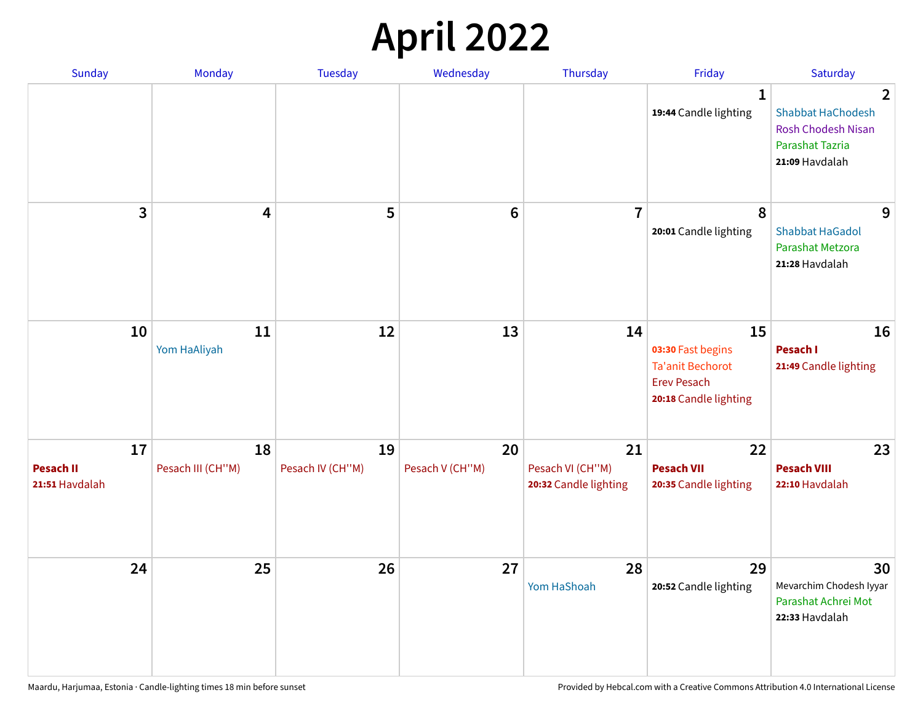## **April 2022**

| Sunday                                   | Monday                  | <b>Tuesday</b>         | Wednesday             | Thursday                                        | Friday                                                                                            | Saturday                                                                                                            |
|------------------------------------------|-------------------------|------------------------|-----------------------|-------------------------------------------------|---------------------------------------------------------------------------------------------------|---------------------------------------------------------------------------------------------------------------------|
|                                          |                         |                        |                       |                                                 | $\mathbf{1}$<br>19:44 Candle lighting                                                             | $\overline{2}$<br><b>Shabbat HaChodesh</b><br><b>Rosh Chodesh Nisan</b><br><b>Parashat Tazria</b><br>21:09 Havdalah |
| 3                                        | $\overline{4}$          | 5                      | $6\phantom{1}6$       | $\overline{7}$                                  | 8<br>20:01 Candle lighting                                                                        | 9<br><b>Shabbat HaGadol</b><br>Parashat Metzora<br>21:28 Havdalah                                                   |
| 10                                       | 11<br>Yom HaAliyah      | 12                     | 13                    | 14                                              | 15<br>03:30 Fast begins<br><b>Ta'anit Bechorot</b><br><b>Erev Pesach</b><br>20:18 Candle lighting | 16<br>Pesach I<br>21:49 Candle lighting                                                                             |
| 17<br><b>Pesach II</b><br>21:51 Havdalah | 18<br>Pesach III (CH"M) | 19<br>Pesach IV (CH"M) | 20<br>Pesach V (CH"M) | 21<br>Pesach VI (CH"M)<br>20:32 Candle lighting | 22<br><b>Pesach VII</b><br>20:35 Candle lighting                                                  | 23<br><b>Pesach VIII</b><br>22:10 Havdalah                                                                          |
| 24                                       | 25                      | 26                     | 27                    | 28<br>Yom HaShoah                               | 29<br>20:52 Candle lighting                                                                       | 30<br>Mevarchim Chodesh Iyyar<br>Parashat Achrei Mot<br>22:33 Havdalah                                              |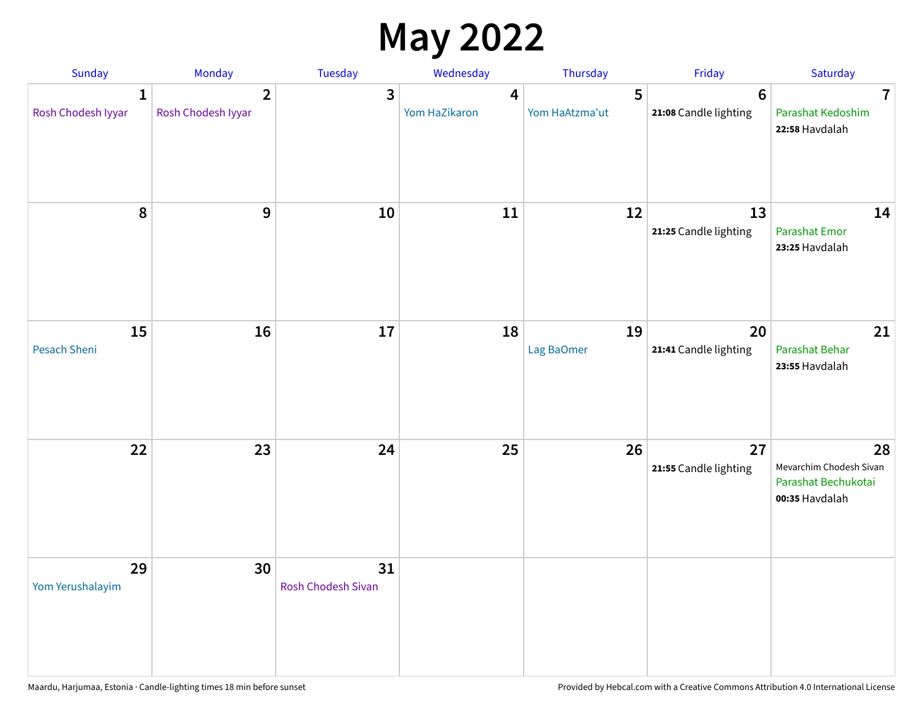## **May 2022**

| Sunday                             | Monday                               | Tuesday                         | Wednesday          | Thursday            | Friday                                   | Saturday                                                               |
|------------------------------------|--------------------------------------|---------------------------------|--------------------|---------------------|------------------------------------------|------------------------------------------------------------------------|
| $\mathbf{1}$<br>Rosh Chodesh Iyyar | $\overline{2}$<br>Rosh Chodesh Iyyar | 3                               | 4<br>Yom HaZikaron | 5<br>Yom HaAtzma'ut | $6\phantom{1}6$<br>21:08 Candle lighting | $\overline{7}$<br>Parashat Kedoshim<br>22:58 Havdalah                  |
| $\pmb{8}$                          | $\mathbf{9}$                         | 10                              | 11                 | 12                  | 13<br>21:25 Candle lighting              | 14<br><b>Parashat Emor</b><br>23:25 Havdalah                           |
| 15<br>Pesach Sheni                 | 16                                   | 17                              | 18                 | 19<br>Lag BaOmer    | 20<br>21:41 Candle lighting              | 21<br>Parashat Behar<br>23:55 Havdalah                                 |
| 22                                 | 23                                   | 24                              | 25                 | 26                  | 27<br>21:55 Candle lighting              | 28<br>Mevarchim Chodesh Sivan<br>Parashat Bechukotai<br>00:35 Havdalah |
| 29<br>Yom Yerushalayim             | 30                                   | 31<br><b>Rosh Chodesh Sivan</b> |                    |                     |                                          |                                                                        |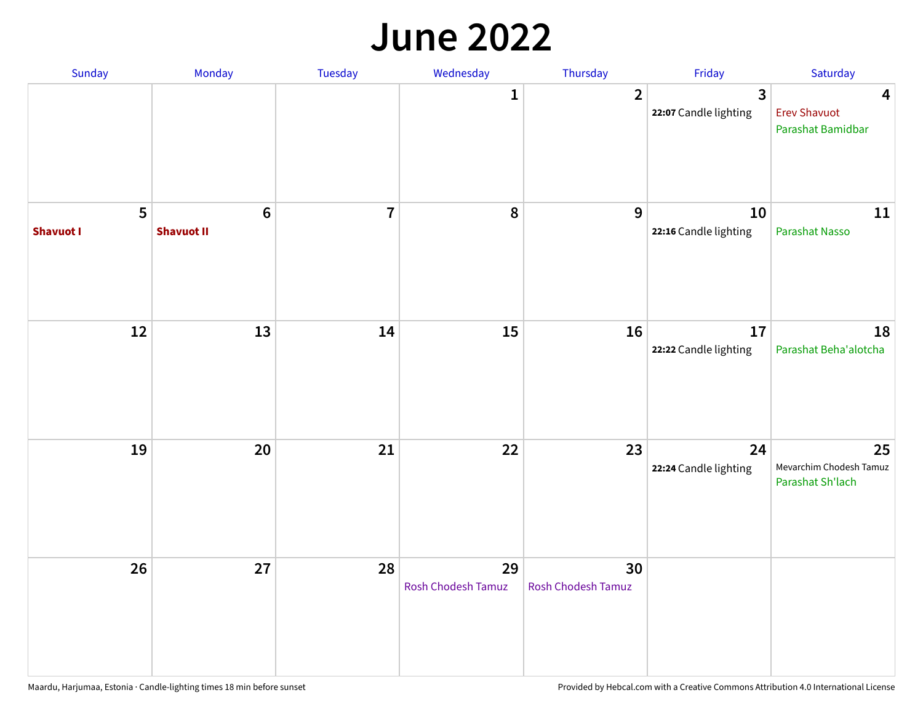#### **June 2022**

| Sunday                | Monday                       | Tuesday        | Wednesday                       | Thursday                 | Friday                      | Saturday                                          |
|-----------------------|------------------------------|----------------|---------------------------------|--------------------------|-----------------------------|---------------------------------------------------|
|                       |                              |                | 1                               | $\overline{2}$           | 3<br>22:07 Candle lighting  | 4<br><b>Erev Shavuot</b><br>Parashat Bamidbar     |
| 5<br><b>Shavuot I</b> | $\bf 6$<br><b>Shavuot II</b> | $\overline{7}$ | $\pmb{8}$                       | 9                        | 10<br>22:16 Candle lighting | 11<br>Parashat Nasso                              |
| $12\,$                | 13                           | 14             | 15                              | 16                       | 17<br>22:22 Candle lighting | 18<br>Parashat Beha'alotcha                       |
| 19                    | 20                           | 21             | 22                              | 23                       | 24<br>22:24 Candle lighting | 25<br>Mevarchim Chodesh Tamuz<br>Parashat Sh'lach |
| 26                    | 27                           | 28             | 29<br><b>Rosh Chodesh Tamuz</b> | 30<br>Rosh Chodesh Tamuz |                             |                                                   |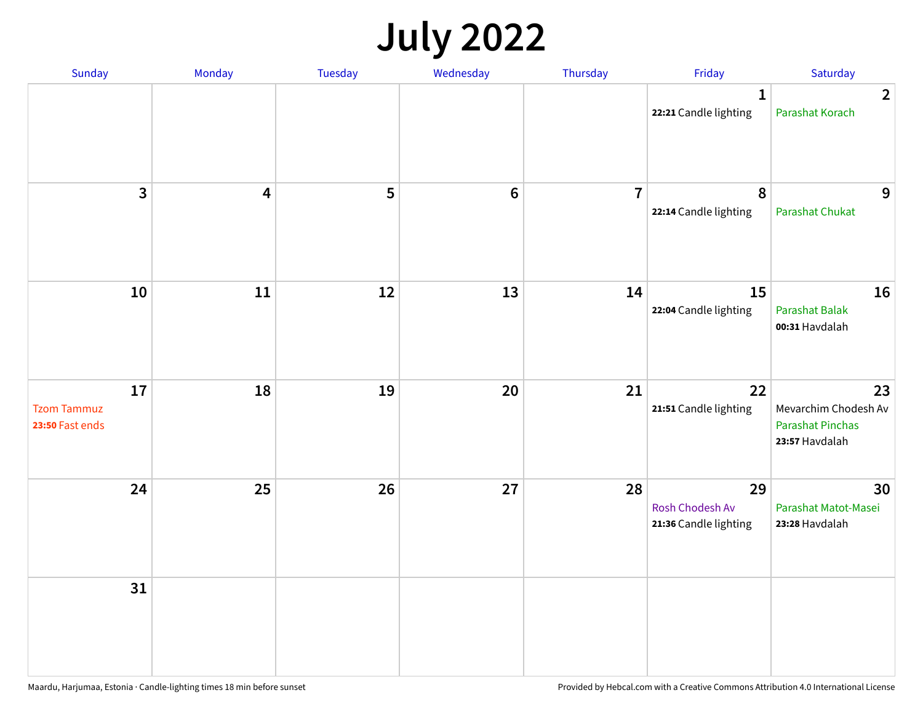## **July 2022**

| Sunday                                      | Monday                  | Tuesday | Wednesday | Thursday       | Friday                                         | Saturday                                                                |
|---------------------------------------------|-------------------------|---------|-----------|----------------|------------------------------------------------|-------------------------------------------------------------------------|
|                                             |                         |         |           |                | $\mathbf{1}$<br>22:21 Candle lighting          | $\overline{2}$<br>Parashat Korach                                       |
| $\mathbf{3}$                                | $\overline{\mathbf{4}}$ | 5       | $\bf 6$   | $\overline{7}$ | $\boldsymbol{8}$<br>22:14 Candle lighting      | 9<br><b>Parashat Chukat</b>                                             |
| 10                                          | 11                      | 12      | 13        | 14             | 15<br>22:04 Candle lighting                    | 16<br>Parashat Balak<br>00:31 Havdalah                                  |
| 17<br><b>Tzom Tammuz</b><br>23:50 Fast ends | 18                      | 19      | 20        | 21             | 22<br>21:51 Candle lighting                    | 23<br>Mevarchim Chodesh Av<br><b>Parashat Pinchas</b><br>23:57 Havdalah |
| 24                                          | 25                      | 26      | 27        | 28             | 29<br>Rosh Chodesh Av<br>21:36 Candle lighting | 30<br>Parashat Matot-Masei<br>23:28 Havdalah                            |
| 31                                          |                         |         |           |                |                                                |                                                                         |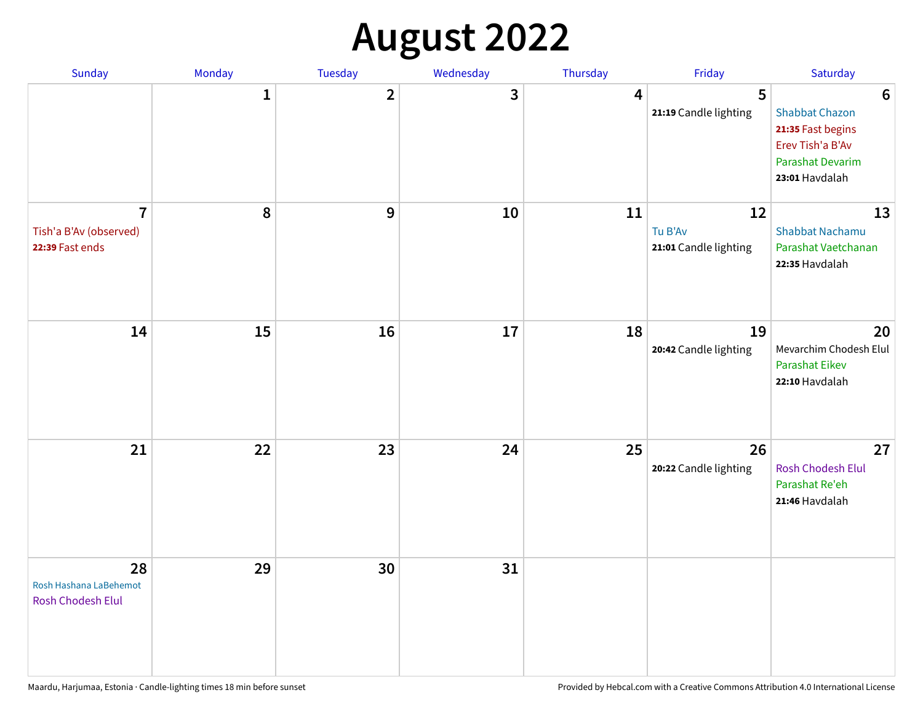## **August 2022**

| Sunday                                                      | Monday       | Tuesday      | Wednesday | Thursday | Friday                                 | Saturday                                                                                                                       |
|-------------------------------------------------------------|--------------|--------------|-----------|----------|----------------------------------------|--------------------------------------------------------------------------------------------------------------------------------|
|                                                             | $\mathbf{1}$ | $\mathbf{2}$ | 3         | 4        | 5<br>21:19 Candle lighting             | $6\phantom{1}6$<br><b>Shabbat Chazon</b><br>21:35 Fast begins<br>Erev Tish'a B'Av<br><b>Parashat Devarim</b><br>23:01 Havdalah |
| $\overline{7}$<br>Tish'a B'Av (observed)<br>22:39 Fast ends | 8            | 9            | 10        | 11       | 12<br>Tu B'Av<br>21:01 Candle lighting | 13<br><b>Shabbat Nachamu</b><br>Parashat Vaetchanan<br>22:35 Havdalah                                                          |
| 14                                                          | 15           | 16           | 17        | 18       | 19<br>20:42 Candle lighting            | 20<br>Mevarchim Chodesh Elul<br>Parashat Eikev<br>22:10 Havdalah                                                               |
| 21                                                          | 22           | 23           | 24        | 25       | 26<br>20:22 Candle lighting            | 27<br>Rosh Chodesh Elul<br>Parashat Re'eh<br>21:46 Havdalah                                                                    |
| 28<br>Rosh Hashana LaBehemot<br>Rosh Chodesh Elul           | 29           | 30           | 31        |          |                                        |                                                                                                                                |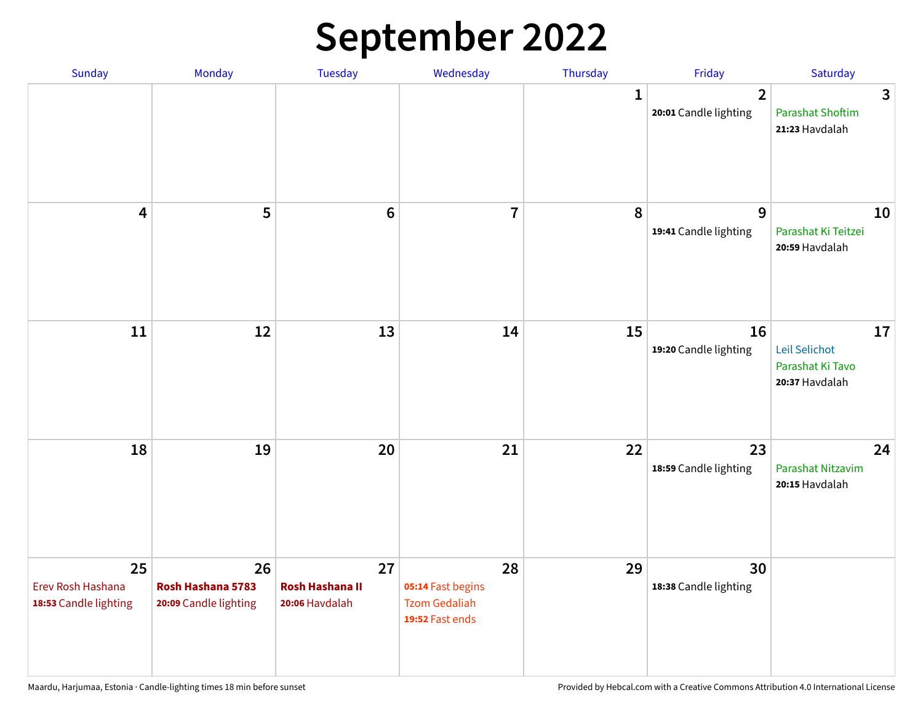## **September 2022**

| Sunday                                           | Monday                                           | <b>Tuesday</b>                                 | Wednesday                                                          | Thursday    | Friday                                  | Saturday                                                  |
|--------------------------------------------------|--------------------------------------------------|------------------------------------------------|--------------------------------------------------------------------|-------------|-----------------------------------------|-----------------------------------------------------------|
|                                                  |                                                  |                                                |                                                                    | $\mathbf 1$ | $\overline{2}$<br>20:01 Candle lighting | 3<br><b>Parashat Shoftim</b><br>21:23 Havdalah            |
| $\overline{\mathbf{4}}$                          | 5                                                | $6\phantom{1}6$                                | $\overline{7}$                                                     | 8           | 9<br>19:41 Candle lighting              | 10<br>Parashat Ki Teitzei<br>20:59 Havdalah               |
| 11                                               | 12                                               | 13                                             | 14                                                                 | 15          | 16<br>19:20 Candle lighting             | 17<br>Leil Selichot<br>Parashat Ki Tavo<br>20:37 Havdalah |
| 18                                               | 19                                               | 20                                             | 21                                                                 | 22          | 23<br>18:59 Candle lighting             | 24<br>Parashat Nitzavim<br>20:15 Havdalah                 |
| 25<br>Erev Rosh Hashana<br>18:53 Candle lighting | 26<br>Rosh Hashana 5783<br>20:09 Candle lighting | 27<br><b>Rosh Hashana II</b><br>20:06 Havdalah | 28<br>05:14 Fast begins<br><b>Tzom Gedaliah</b><br>19:52 Fast ends | 29          | 30<br>18:38 Candle lighting             |                                                           |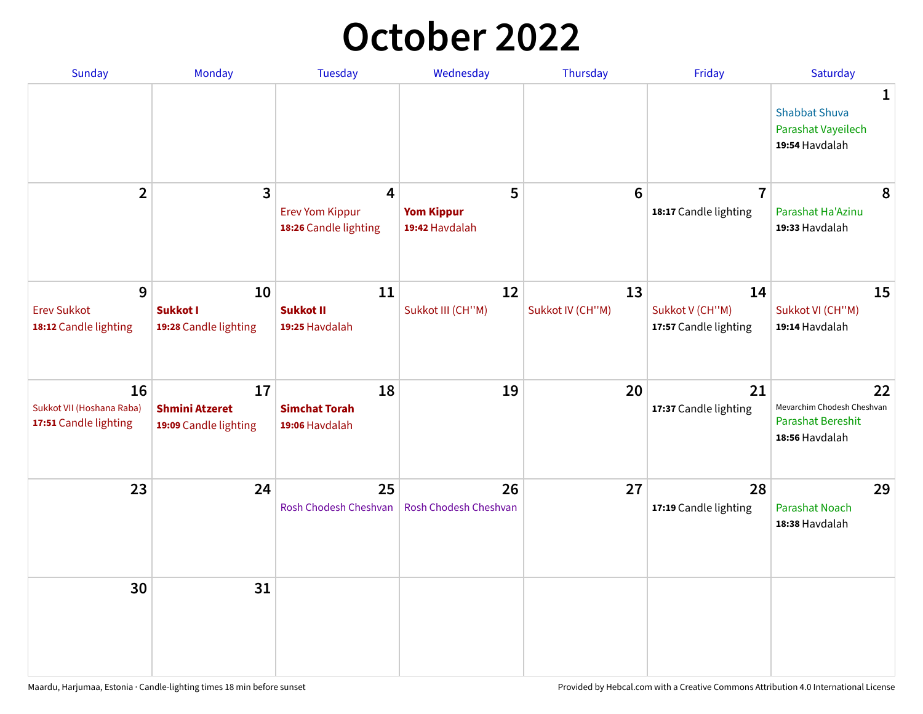## **October 2022**

| Sunday                                                   | Monday                                               | <b>Tuesday</b>                                                    | Wednesday                                | Thursday               | Friday                                         | Saturday                                                                |
|----------------------------------------------------------|------------------------------------------------------|-------------------------------------------------------------------|------------------------------------------|------------------------|------------------------------------------------|-------------------------------------------------------------------------|
|                                                          |                                                      |                                                                   |                                          |                        |                                                | 1<br><b>Shabbat Shuva</b><br>Parashat Vayeilech<br>19:54 Havdalah       |
| $\overline{2}$                                           | $\overline{\mathbf{3}}$                              | $\overline{4}$<br><b>Erev Yom Kippur</b><br>18:26 Candle lighting | 5<br><b>Yom Kippur</b><br>19:42 Havdalah | 6                      | $\overline{7}$<br>18:17 Candle lighting        | 8<br>Parashat Ha'Azinu<br>19:33 Havdalah                                |
| 9<br><b>Erev Sukkot</b><br>18:12 Candle lighting         | 10<br><b>Sukkot I</b><br>19:28 Candle lighting       | 11<br><b>Sukkot II</b><br>19:25 Havdalah                          | 12<br>Sukkot III (CH"M)                  | 13<br>Sukkot IV (CH"M) | 14<br>Sukkot V (CH"M)<br>17:57 Candle lighting | 15<br>Sukkot VI (CH"M)<br>19:14 Havdalah                                |
| 16<br>Sukkot VII (Hoshana Raba)<br>17:51 Candle lighting | 17<br><b>Shmini Atzeret</b><br>19:09 Candle lighting | 18<br><b>Simchat Torah</b><br>19:06 Havdalah                      | 19                                       | 20                     | 21<br>17:37 Candle lighting                    | 22<br>Mevarchim Chodesh Cheshvan<br>Parashat Bereshit<br>18:56 Havdalah |
| 23                                                       | 24                                                   | 25<br>Rosh Chodesh Cheshvan                                       | 26<br>Rosh Chodesh Cheshvan              | 27                     | 28<br>17:19 Candle lighting                    | 29<br><b>Parashat Noach</b><br>18:38 Havdalah                           |
| 30                                                       | 31                                                   |                                                                   |                                          |                        |                                                |                                                                         |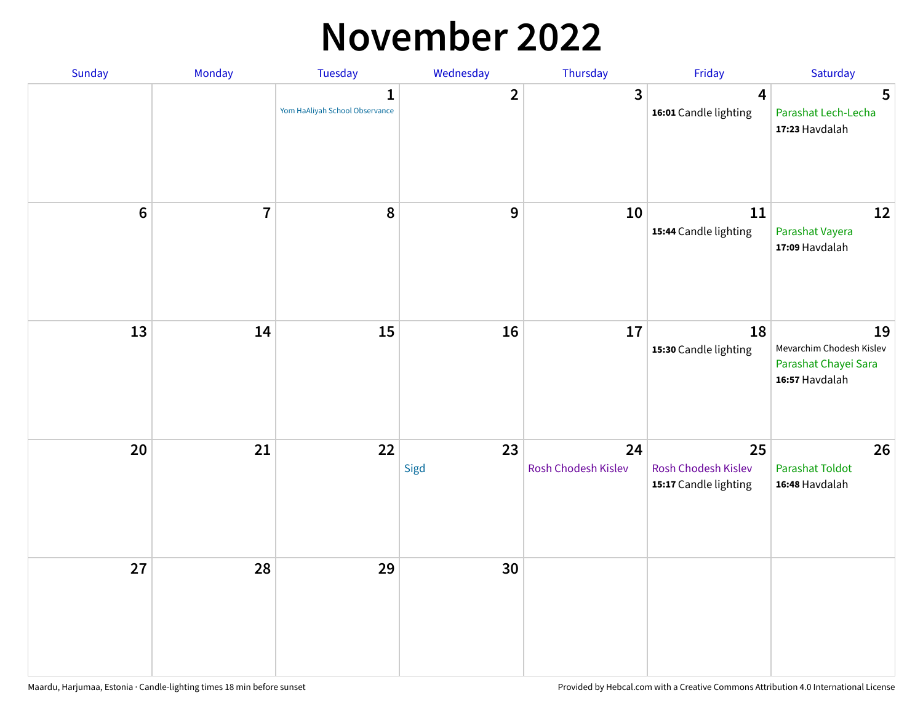### **November 2022**

| Sunday         | Monday         | Tuesday                             | Wednesday               | Thursday                  | Friday                                             | Saturday                                                                 |
|----------------|----------------|-------------------------------------|-------------------------|---------------------------|----------------------------------------------------|--------------------------------------------------------------------------|
|                |                | 1<br>Yom HaAliyah School Observance | $\overline{\mathbf{2}}$ | $\mathbf{3}$              | $\overline{\mathbf{4}}$<br>16:01 Candle lighting   | 5<br>Parashat Lech-Lecha<br>17:23 Havdalah                               |
| $6\phantom{1}$ | $\overline{7}$ | 8                                   | $\boldsymbol{9}$        | 10                        | 11<br>15:44 Candle lighting                        | 12<br>Parashat Vayera<br>17:09 Havdalah                                  |
| 13             | 14             | 15                                  | 16                      | 17                        | 18<br>15:30 Candle lighting                        | 19<br>Mevarchim Chodesh Kislev<br>Parashat Chayei Sara<br>16:57 Havdalah |
| 20             | 21             | 22                                  | 23<br>Sigd              | 24<br>Rosh Chodesh Kislev | 25<br>Rosh Chodesh Kislev<br>15:17 Candle lighting | 26<br><b>Parashat Toldot</b><br>16:48 Havdalah                           |
| 27             | 28             | 29                                  | 30                      |                           |                                                    |                                                                          |